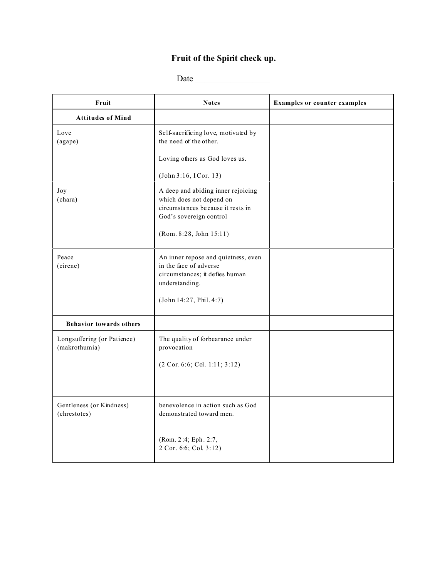## **Fruit of the Spirit check up.**

Date \_\_\_\_\_\_\_\_\_\_\_\_\_\_\_\_\_

| Fruit                                        | <b>Notes</b>                                                                                                                                              | <b>Examples or counter examples</b> |
|----------------------------------------------|-----------------------------------------------------------------------------------------------------------------------------------------------------------|-------------------------------------|
| <b>Attitudes of Mind</b>                     |                                                                                                                                                           |                                     |
| Love<br>(agape)                              | Self-sacrificing love, motivated by<br>the need of the other.                                                                                             |                                     |
|                                              | Loving others as God loves us.                                                                                                                            |                                     |
|                                              | (John 3:16, ICor. 13)                                                                                                                                     |                                     |
| Joy<br>(chara)                               | A deep and abiding inner rejoicing<br>which does not depend on<br>circumstances because it rests in<br>God's sovereign control<br>(Rom. 8:28, John 15:11) |                                     |
| Peace<br>(eirene)                            | An inner repose and quietness, even<br>in the face of adverse<br>circumstances; it defies human<br>understanding.<br>(John 14:27, Phil. 4:7)              |                                     |
| <b>Behavior towards others</b>               |                                                                                                                                                           |                                     |
| Longsuffering (or Patience)<br>(makrothumia) | The quality of forbearance under<br>provocation                                                                                                           |                                     |
|                                              | (2 Cor. 6:6; Col. 1:11; 3:12)                                                                                                                             |                                     |
|                                              |                                                                                                                                                           |                                     |
| Gentleness (or Kindness)<br>(chrestotes)     | benevolence in action such as God<br>demonstrated toward men.                                                                                             |                                     |
|                                              | (Rom. 2:4; Eph. 2:7,<br>2 Cor. 6:6; Col. 3:12)                                                                                                            |                                     |